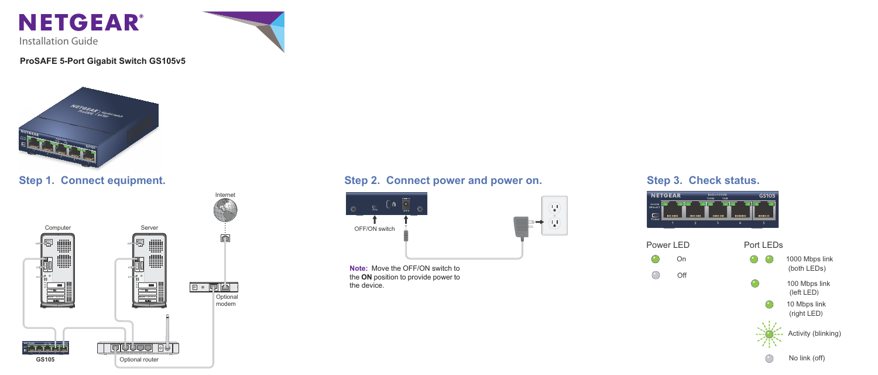

Installation Guide

### **ProSAFE 5-Port Gigabit Switch GS105v5**







**Step 1. Connect equipment.**

Activity (blinking)

No link (off)

1000 Mbps link (both LEDs)



(right LED) 10 Mbps link



 $\bigcirc$ 

(left LED) 100 Mbps link



### Step 2. Connect power and power on. Step 3. Check status.



**Note:** Move the OFF/ON switch to the **ON** position to provide power to the device.



Power LED Port LEDs